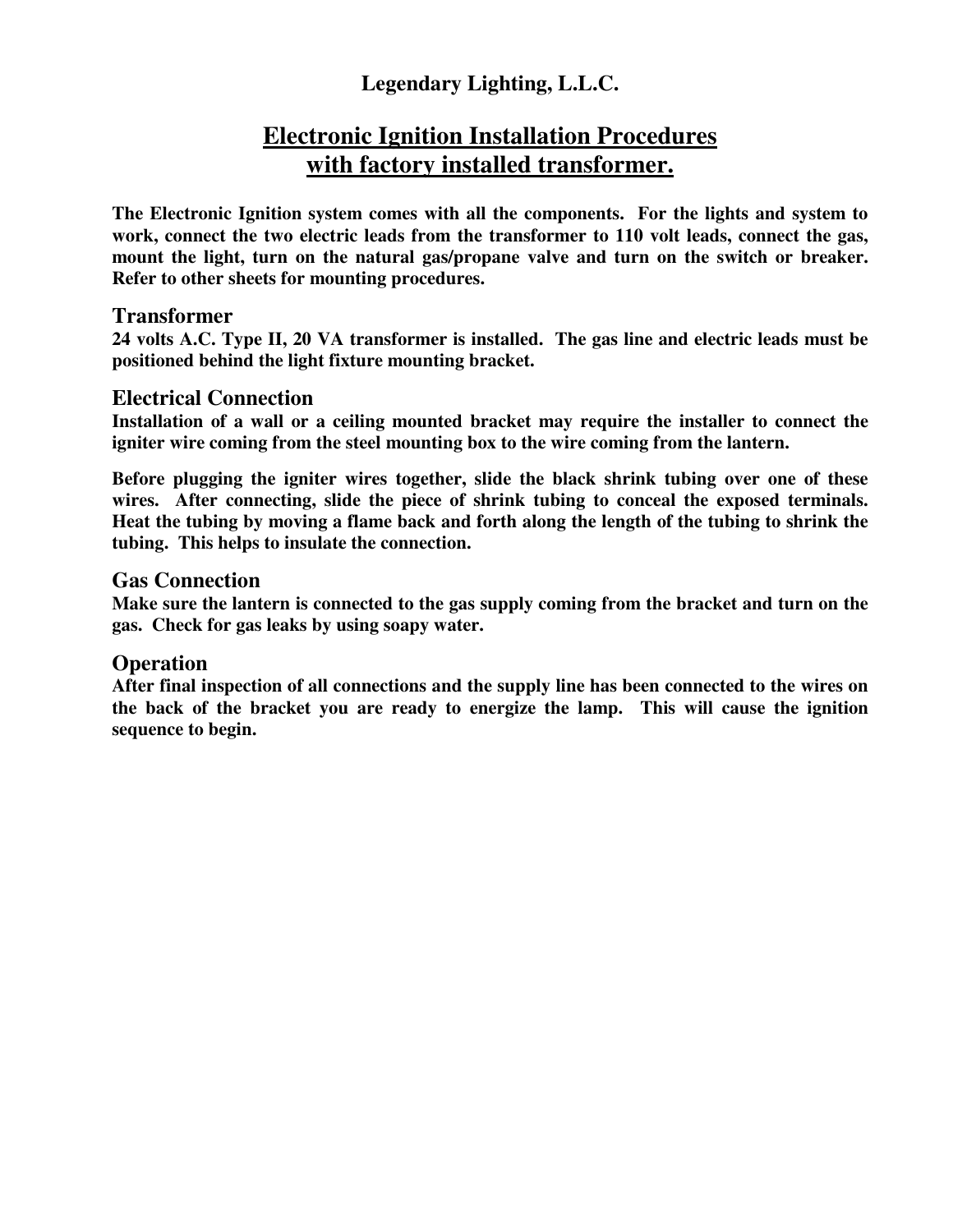# **Legendary Lighting, L.L.C.**

# **Electronic Ignition Installation Procedures with factory installed transformer.**

**The Electronic Ignition system comes with all the components. For the lights and system to work, connect the two electric leads from the transformer to 110 volt leads, connect the gas, mount the light, turn on the natural gas/propane valve and turn on the switch or breaker. Refer to other sheets for mounting procedures.** 

## **Transformer**

**24 volts A.C. Type II, 20 VA transformer is installed. The gas line and electric leads must be positioned behind the light fixture mounting bracket.** 

# **Electrical Connection**

**Installation of a wall or a ceiling mounted bracket may require the installer to connect the igniter wire coming from the steel mounting box to the wire coming from the lantern.** 

**Before plugging the igniter wires together, slide the black shrink tubing over one of these wires. After connecting, slide the piece of shrink tubing to conceal the exposed terminals. Heat the tubing by moving a flame back and forth along the length of the tubing to shrink the tubing. This helps to insulate the connection.** 

# **Gas Connection**

**Make sure the lantern is connected to the gas supply coming from the bracket and turn on the gas. Check for gas leaks by using soapy water.** 

## **Operation**

**After final inspection of all connections and the supply line has been connected to the wires on the back of the bracket you are ready to energize the lamp. This will cause the ignition sequence to begin.**